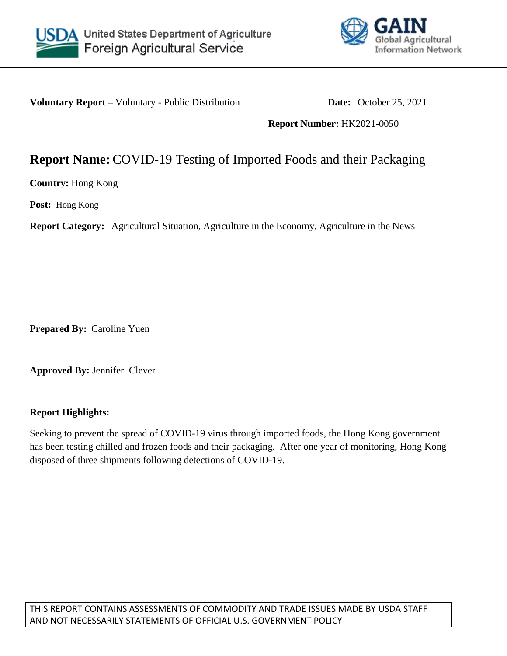



**Voluntary Report** – Voluntary - Public Distribution **Date:** October 25, 2021

**Report Number:** HK2021-0050

## **Report Name:** COVID-19 Testing of Imported Foods and their Packaging

**Country:** Hong Kong

**Post:** Hong Kong

**Report Category:** Agricultural Situation, Agriculture in the Economy, Agriculture in the News

**Prepared By:** Caroline Yuen

**Approved By:** Jennifer Clever

## **Report Highlights:**

Seeking to prevent the spread of COVID-19 virus through imported foods, the Hong Kong government has been testing chilled and frozen foods and their packaging. After one year of monitoring, Hong Kong disposed of three shipments following detections of COVID-19.